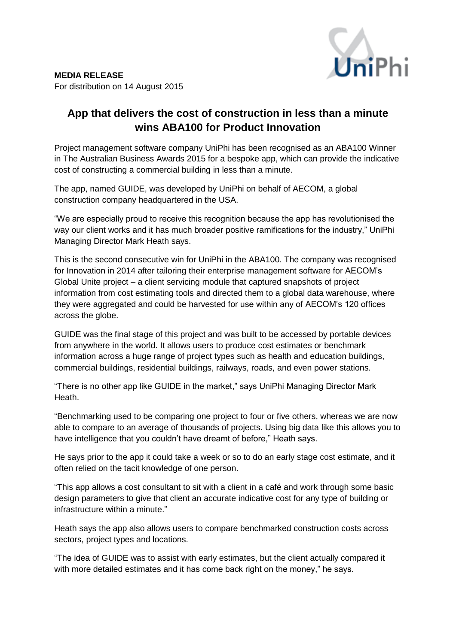

## **App that delivers the cost of construction in less than a minute wins ABA100 for Product Innovation**

Project management software company UniPhi has been recognised as an ABA100 Winner in The Australian Business Awards 2015 for a bespoke app, which can provide the indicative cost of constructing a commercial building in less than a minute.

The app, named GUIDE, was developed by UniPhi on behalf of AECOM, a global construction company headquartered in the USA.

"We are especially proud to receive this recognition because the app has revolutionised the way our client works and it has much broader positive ramifications for the industry," UniPhi Managing Director Mark Heath says.

This is the second consecutive win for UniPhi in the ABA100. The company was recognised for Innovation in 2014 after tailoring their enterprise management software for AECOM's Global Unite project – a client servicing module that captured snapshots of project information from cost estimating tools and directed them to a global data warehouse, where they were aggregated and could be harvested for use within any of AECOM's 120 offices across the globe.

GUIDE was the final stage of this project and was built to be accessed by portable devices from anywhere in the world. It allows users to produce cost estimates or benchmark information across a huge range of project types such as health and education buildings, commercial buildings, residential buildings, railways, roads, and even power stations.

"There is no other app like GUIDE in the market," says UniPhi Managing Director Mark Heath.

"Benchmarking used to be comparing one project to four or five others, whereas we are now able to compare to an average of thousands of projects. Using big data like this allows you to have intelligence that you couldn't have dreamt of before," Heath says.

He says prior to the app it could take a week or so to do an early stage cost estimate, and it often relied on the tacit knowledge of one person.

"This app allows a cost consultant to sit with a client in a café and work through some basic design parameters to give that client an accurate indicative cost for any type of building or infrastructure within a minute."

Heath says the app also allows users to compare benchmarked construction costs across sectors, project types and locations.

"The idea of GUIDE was to assist with early estimates, but the client actually compared it with more detailed estimates and it has come back right on the money," he says.